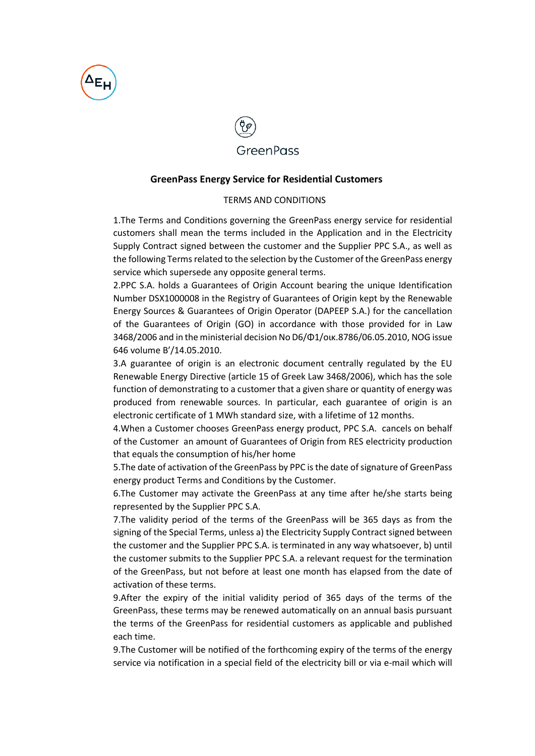



## **GreenPass Energy Service for Residential Customers**

## TERMS AND CONDITIONS

1.The Terms and Conditions governing the GreenPass energy service for residential customers shall mean the terms included in the Application and in the Electricity Supply Contract signed between the customer and the Supplier PPC S.A., as well as the following Terms related to the selection by the Customer of the GreenPass energy service which supersede any opposite general terms.

2.PPC S.A. holds a Guarantees of Origin Account bearing the unique Identification Number DSX1000008 in the Registry of Guarantees of Origin kept by the Renewable Energy Sources & Guarantees of Origin Operator (DAPEEP S.A.) for the cancellation of the Guarantees of Origin (GO) in accordance with those provided for in Law 3468/2006 and in the ministerial decision No D6/Φ1/οικ.8786/06.05.2010, ΝΟG issue 646 volume B'/14.05.2010.

3.A guarantee of origin is an electronic document centrally regulated by the EU Renewable Energy Directive (article 15 of Greek Law 3468/2006), which has the sole function of demonstrating to a customer that a given share or quantity of energy was produced from renewable sources. In particular, each guarantee of origin is an electronic certificate of 1 MWh standard size, with a lifetime of 12 months.

4.When a Customer chooses GreenPass energy product, PPC S.A. cancels on behalf of the Customer an amount of Guarantees of Origin from RES electricity production that equals the consumption of his/her home

5.The date of activation of the GreenPass by PPC is the date of signature of GreenPass energy product Terms and Conditions by the Customer.

6.The Customer may activate the GreenPass at any time after he/she starts being represented by the Supplier PPC S.A.

7.The validity period of the terms of the GreenPass will be 365 days as from the signing of the Special Terms, unless a) the Electricity Supply Contract signed between the customer and the Supplier PPC S.A. is terminated in any way whatsoever, b) until the customer submits to the Supplier PPC S.A. a relevant request for the termination of the GreenPass, but not before at least one month has elapsed from the date of activation of these terms.

9.After the expiry of the initial validity period of 365 days of the terms of the GreenPass, these terms may be renewed automatically on an annual basis pursuant the terms of the GreenPass for residential customers as applicable and published each time.

9.The Customer will be notified of the forthcoming expiry of the terms of the energy service via notification in a special field of the electricity bill or via e-mail which will